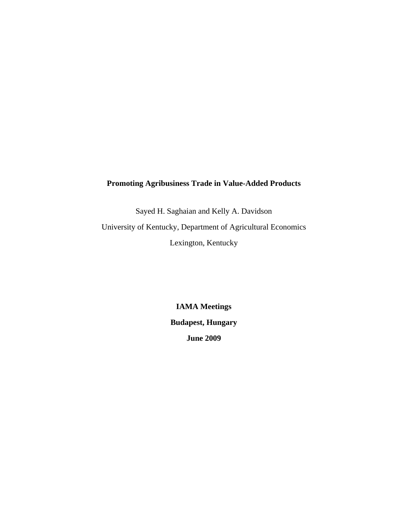## **Promoting Agribusiness Trade in Value-Added Products**

Sayed H. Saghaian and Kelly A. Davidson University of Kentucky, Department of Agricultural Economics Lexington, Kentucky

> **IAMA Meetings Budapest, Hungary June 2009**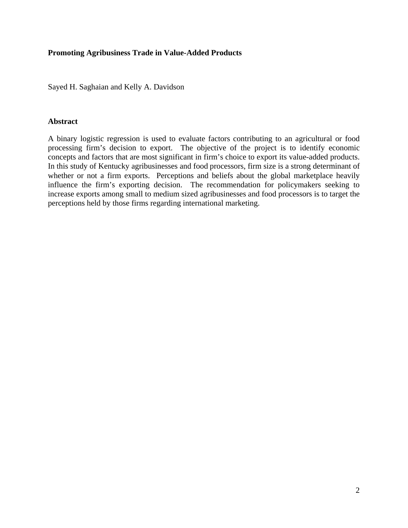## **Promoting Agribusiness Trade in Value-Added Products**

Sayed H. Saghaian and Kelly A. Davidson

## **Abstract**

A binary logistic regression is used to evaluate factors contributing to an agricultural or food processing firm's decision to export. The objective of the project is to identify economic concepts and factors that are most significant in firm's choice to export its value-added products. In this study of Kentucky agribusinesses and food processors, firm size is a strong determinant of whether or not a firm exports. Perceptions and beliefs about the global marketplace heavily influence the firm's exporting decision. The recommendation for policymakers seeking to increase exports among small to medium sized agribusinesses and food processors is to target the perceptions held by those firms regarding international marketing.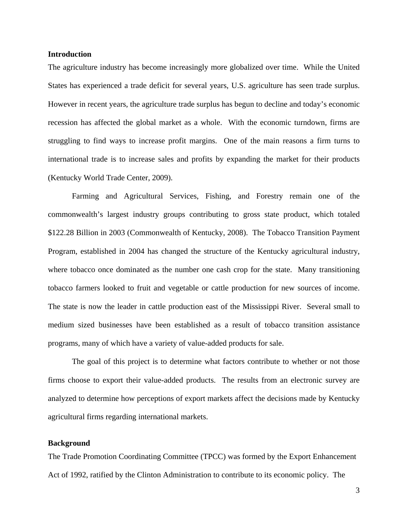## **Introduction**

The agriculture industry has become increasingly more globalized over time. While the United States has experienced a trade deficit for several years, U.S. agriculture has seen trade surplus. However in recent years, the agriculture trade surplus has begun to decline and today's economic recession has affected the global market as a whole. With the economic turndown, firms are struggling to find ways to increase profit margins. One of the main reasons a firm turns to international trade is to increase sales and profits by expanding the market for their products (Kentucky World Trade Center, 2009).

 Farming and Agricultural Services, Fishing, and Forestry remain one of the commonwealth's largest industry groups contributing to gross state product, which totaled \$122.28 Billion in 2003 (Commonwealth of Kentucky, 2008). The Tobacco Transition Payment Program, established in 2004 has changed the structure of the Kentucky agricultural industry, where tobacco once dominated as the number one cash crop for the state. Many transitioning tobacco farmers looked to fruit and vegetable or cattle production for new sources of income. The state is now the leader in cattle production east of the Mississippi River. Several small to medium sized businesses have been established as a result of tobacco transition assistance programs, many of which have a variety of value-added products for sale.

 The goal of this project is to determine what factors contribute to whether or not those firms choose to export their value-added products. The results from an electronic survey are analyzed to determine how perceptions of export markets affect the decisions made by Kentucky agricultural firms regarding international markets.

#### **Background**

The Trade Promotion Coordinating Committee (TPCC) was formed by the Export Enhancement Act of 1992, ratified by the Clinton Administration to contribute to its economic policy. The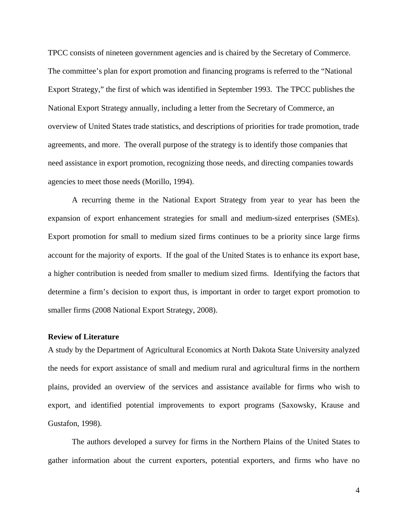TPCC consists of nineteen government agencies and is chaired by the Secretary of Commerce. The committee's plan for export promotion and financing programs is referred to the "National Export Strategy," the first of which was identified in September 1993. The TPCC publishes the National Export Strategy annually, including a letter from the Secretary of Commerce, an overview of United States trade statistics, and descriptions of priorities for trade promotion, trade agreements, and more. The overall purpose of the strategy is to identify those companies that need assistance in export promotion, recognizing those needs, and directing companies towards agencies to meet those needs (Morillo, 1994).

 A recurring theme in the National Export Strategy from year to year has been the expansion of export enhancement strategies for small and medium-sized enterprises (SMEs). Export promotion for small to medium sized firms continues to be a priority since large firms account for the majority of exports. If the goal of the United States is to enhance its export base, a higher contribution is needed from smaller to medium sized firms. Identifying the factors that determine a firm's decision to export thus, is important in order to target export promotion to smaller firms (2008 National Export Strategy, 2008).

### **Review of Literature**

A study by the Department of Agricultural Economics at North Dakota State University analyzed the needs for export assistance of small and medium rural and agricultural firms in the northern plains, provided an overview of the services and assistance available for firms who wish to export, and identified potential improvements to export programs (Saxowsky, Krause and Gustafon, 1998).

 The authors developed a survey for firms in the Northern Plains of the United States to gather information about the current exporters, potential exporters, and firms who have no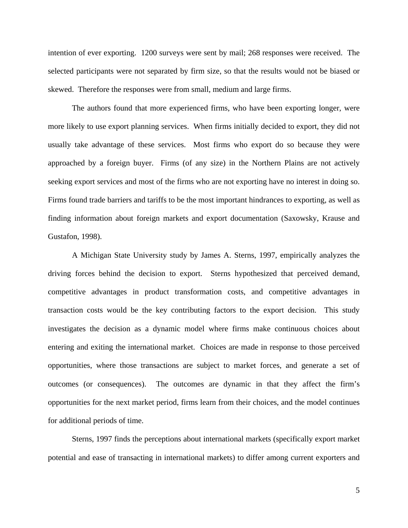intention of ever exporting. 1200 surveys were sent by mail; 268 responses were received. The selected participants were not separated by firm size, so that the results would not be biased or skewed. Therefore the responses were from small, medium and large firms.

 The authors found that more experienced firms, who have been exporting longer, were more likely to use export planning services. When firms initially decided to export, they did not usually take advantage of these services. Most firms who export do so because they were approached by a foreign buyer. Firms (of any size) in the Northern Plains are not actively seeking export services and most of the firms who are not exporting have no interest in doing so. Firms found trade barriers and tariffs to be the most important hindrances to exporting, as well as finding information about foreign markets and export documentation (Saxowsky, Krause and Gustafon, 1998).

 A Michigan State University study by James A. Sterns, 1997, empirically analyzes the driving forces behind the decision to export. Sterns hypothesized that perceived demand, competitive advantages in product transformation costs, and competitive advantages in transaction costs would be the key contributing factors to the export decision. This study investigates the decision as a dynamic model where firms make continuous choices about entering and exiting the international market. Choices are made in response to those perceived opportunities, where those transactions are subject to market forces, and generate a set of outcomes (or consequences). The outcomes are dynamic in that they affect the firm's opportunities for the next market period, firms learn from their choices, and the model continues for additional periods of time.

 Sterns, 1997 finds the perceptions about international markets (specifically export market potential and ease of transacting in international markets) to differ among current exporters and

5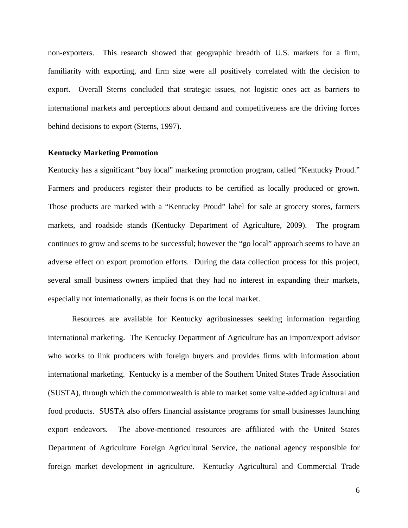non-exporters. This research showed that geographic breadth of U.S. markets for a firm, familiarity with exporting, and firm size were all positively correlated with the decision to export. Overall Sterns concluded that strategic issues, not logistic ones act as barriers to international markets and perceptions about demand and competitiveness are the driving forces behind decisions to export (Sterns, 1997).

#### **Kentucky Marketing Promotion**

Kentucky has a significant "buy local" marketing promotion program, called "Kentucky Proud." Farmers and producers register their products to be certified as locally produced or grown. Those products are marked with a "Kentucky Proud" label for sale at grocery stores, farmers markets, and roadside stands (Kentucky Department of Agriculture, 2009). The program continues to grow and seems to be successful; however the "go local" approach seems to have an adverse effect on export promotion efforts. During the data collection process for this project, several small business owners implied that they had no interest in expanding their markets, especially not internationally, as their focus is on the local market.

 Resources are available for Kentucky agribusinesses seeking information regarding international marketing. The Kentucky Department of Agriculture has an import/export advisor who works to link producers with foreign buyers and provides firms with information about international marketing. Kentucky is a member of the Southern United States Trade Association (SUSTA), through which the commonwealth is able to market some value-added agricultural and food products. SUSTA also offers financial assistance programs for small businesses launching export endeavors. The above-mentioned resources are affiliated with the United States Department of Agriculture Foreign Agricultural Service, the national agency responsible for foreign market development in agriculture. Kentucky Agricultural and Commercial Trade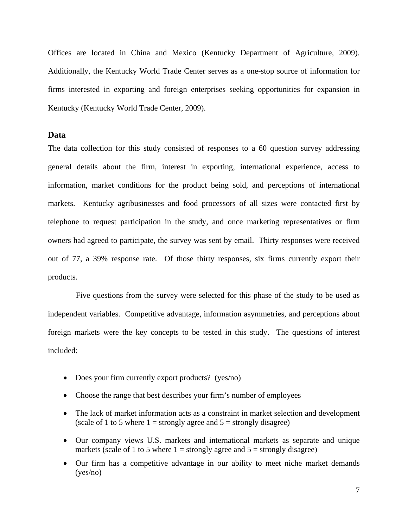Offices are located in China and Mexico (Kentucky Department of Agriculture, 2009). Additionally, the Kentucky World Trade Center serves as a one-stop source of information for firms interested in exporting and foreign enterprises seeking opportunities for expansion in Kentucky (Kentucky World Trade Center, 2009).

## **Data**

The data collection for this study consisted of responses to a 60 question survey addressing general details about the firm, interest in exporting, international experience, access to information, market conditions for the product being sold, and perceptions of international markets. Kentucky agribusinesses and food processors of all sizes were contacted first by telephone to request participation in the study, and once marketing representatives or firm owners had agreed to participate, the survey was sent by email. Thirty responses were received out of 77, a 39% response rate. Of those thirty responses, six firms currently export their products.

 Five questions from the survey were selected for this phase of the study to be used as independent variables. Competitive advantage, information asymmetries, and perceptions about foreign markets were the key concepts to be tested in this study. The questions of interest included:

- Does your firm currently export products? (yes/no)
- Choose the range that best describes your firm's number of employees
- The lack of market information acts as a constraint in market selection and development (scale of 1 to 5 where  $1 =$  strongly agree and  $5 =$  strongly disagree)
- Our company views U.S. markets and international markets as separate and unique markets (scale of 1 to 5 where  $1 =$  strongly agree and  $5 =$  strongly disagree)
- Our firm has a competitive advantage in our ability to meet niche market demands (yes/no)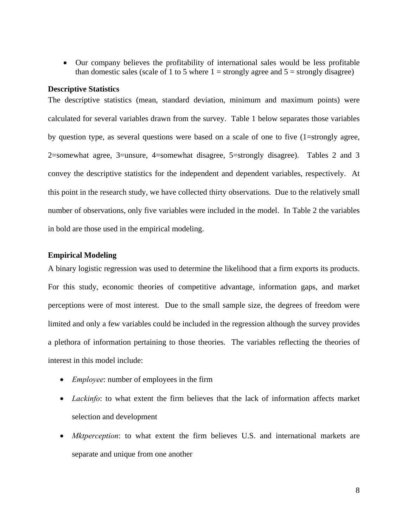• Our company believes the profitability of international sales would be less profitable than domestic sales (scale of 1 to 5 where  $1 =$  strongly agree and  $5 =$  strongly disagree)

#### **Descriptive Statistics**

The descriptive statistics (mean, standard deviation, minimum and maximum points) were calculated for several variables drawn from the survey. Table 1 below separates those variables by question type, as several questions were based on a scale of one to five (1=strongly agree, 2=somewhat agree, 3=unsure, 4=somewhat disagree, 5=strongly disagree). Tables 2 and 3 convey the descriptive statistics for the independent and dependent variables, respectively. At this point in the research study, we have collected thirty observations. Due to the relatively small number of observations, only five variables were included in the model. In Table 2 the variables in bold are those used in the empirical modeling.

## **Empirical Modeling**

A binary logistic regression was used to determine the likelihood that a firm exports its products. For this study, economic theories of competitive advantage, information gaps, and market perceptions were of most interest. Due to the small sample size, the degrees of freedom were limited and only a few variables could be included in the regression although the survey provides a plethora of information pertaining to those theories. The variables reflecting the theories of interest in this model include:

- *Employee*: number of employees in the firm
- *Lackinfo*: to what extent the firm believes that the lack of information affects market selection and development
- *Mktperception*: to what extent the firm believes U.S. and international markets are separate and unique from one another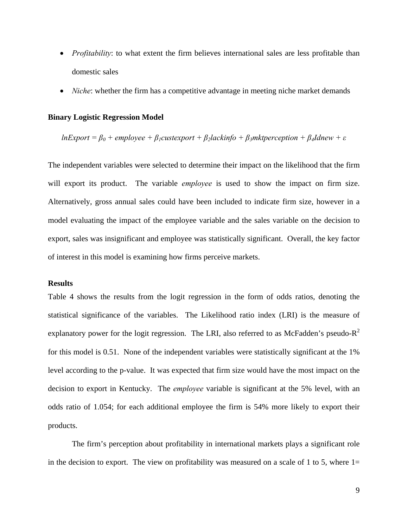- *Profitability*: to what extent the firm believes international sales are less profitable than domestic sales
- *Niche*: whether the firm has a competitive advantage in meeting niche market demands

## **Binary Logistic Regression Model**

## $ln$ *Export* =  $\beta_0$  + employee +  $\beta_1$ *custexport* +  $\beta_2$ *lackinfo* +  $\beta_3$ *mktperception* +  $\beta_4$ *Idnew* +  $\varepsilon$

The independent variables were selected to determine their impact on the likelihood that the firm will export its product. The variable *employee* is used to show the impact on firm size. Alternatively, gross annual sales could have been included to indicate firm size, however in a model evaluating the impact of the employee variable and the sales variable on the decision to export, sales was insignificant and employee was statistically significant. Overall, the key factor of interest in this model is examining how firms perceive markets.

## **Results**

Table 4 shows the results from the logit regression in the form of odds ratios, denoting the statistical significance of the variables. The Likelihood ratio index (LRI) is the measure of explanatory power for the logit regression. The LRI, also referred to as McFadden's pseudo- $R^2$ for this model is 0.51. None of the independent variables were statistically significant at the 1% level according to the p-value. It was expected that firm size would have the most impact on the decision to export in Kentucky. The *employee* variable is significant at the 5% level, with an odds ratio of 1.054; for each additional employee the firm is 54% more likely to export their products.

The firm's perception about profitability in international markets plays a significant role in the decision to export. The view on profitability was measured on a scale of 1 to 5, where  $1=$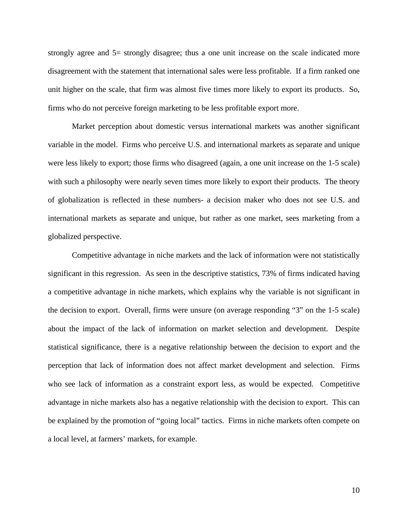strongly agree and 5= strongly disagree; thus a one unit increase on the scale indicated more disagreement with the statement that international sales were less profitable. If a firm ranked one unit higher on the scale, that firm was almost five times more likely to export its products. So, firms who do not perceive foreign marketing to be less profitable export more.

Market perception about domestic versus international markets was another significant variable in the model. Firms who perceive U.S. and international markets as separate and unique were less likely to export; those firms who disagreed (again, a one unit increase on the 1-5 scale) with such a philosophy were nearly seven times more likely to export their products. The theory of globalization is reflected in these numbers- a decision maker who does not see U.S. and international markets as separate and unique, but rather as one market, sees marketing from a globalized perspective.

 Competitive advantage in niche markets and the lack of information were not statistically significant in this regression. As seen in the descriptive statistics, 73% of firms indicated having a competitive advantage in niche markets, which explains why the variable is not significant in the decision to export. Overall, firms were unsure (on average responding "3" on the 1-5 scale) about the impact of the lack of information on market selection and development. Despite statistical significance, there is a negative relationship between the decision to export and the perception that lack of information does not affect market development and selection. Firms who see lack of information as a constraint export less, as would be expected. Competitive advantage in niche markets also has a negative relationship with the decision to export. This can be explained by the promotion of "going local" tactics. Firms in niche markets often compete on a local level, at farmers' markets, for example.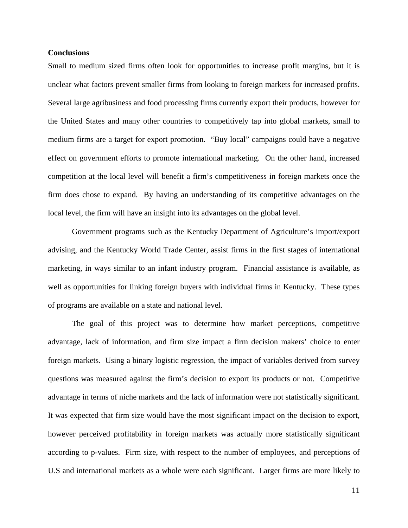## **Conclusions**

Small to medium sized firms often look for opportunities to increase profit margins, but it is unclear what factors prevent smaller firms from looking to foreign markets for increased profits. Several large agribusiness and food processing firms currently export their products, however for the United States and many other countries to competitively tap into global markets, small to medium firms are a target for export promotion. "Buy local" campaigns could have a negative effect on government efforts to promote international marketing. On the other hand, increased competition at the local level will benefit a firm's competitiveness in foreign markets once the firm does chose to expand. By having an understanding of its competitive advantages on the local level, the firm will have an insight into its advantages on the global level.

 Government programs such as the Kentucky Department of Agriculture's import/export advising, and the Kentucky World Trade Center, assist firms in the first stages of international marketing, in ways similar to an infant industry program. Financial assistance is available, as well as opportunities for linking foreign buyers with individual firms in Kentucky. These types of programs are available on a state and national level.

The goal of this project was to determine how market perceptions, competitive advantage, lack of information, and firm size impact a firm decision makers' choice to enter foreign markets. Using a binary logistic regression, the impact of variables derived from survey questions was measured against the firm's decision to export its products or not. Competitive advantage in terms of niche markets and the lack of information were not statistically significant. It was expected that firm size would have the most significant impact on the decision to export, however perceived profitability in foreign markets was actually more statistically significant according to p-values. Firm size, with respect to the number of employees, and perceptions of U.S and international markets as a whole were each significant. Larger firms are more likely to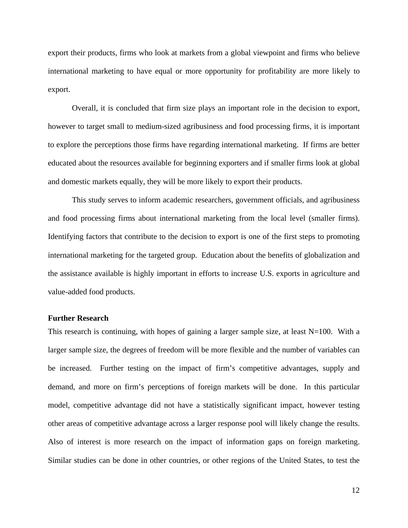export their products, firms who look at markets from a global viewpoint and firms who believe international marketing to have equal or more opportunity for profitability are more likely to export.

Overall, it is concluded that firm size plays an important role in the decision to export, however to target small to medium-sized agribusiness and food processing firms, it is important to explore the perceptions those firms have regarding international marketing. If firms are better educated about the resources available for beginning exporters and if smaller firms look at global and domestic markets equally, they will be more likely to export their products.

This study serves to inform academic researchers, government officials, and agribusiness and food processing firms about international marketing from the local level (smaller firms). Identifying factors that contribute to the decision to export is one of the first steps to promoting international marketing for the targeted group. Education about the benefits of globalization and the assistance available is highly important in efforts to increase U.S. exports in agriculture and value-added food products.

## **Further Research**

This research is continuing, with hopes of gaining a larger sample size, at least  $N=100$ . With a larger sample size, the degrees of freedom will be more flexible and the number of variables can be increased. Further testing on the impact of firm's competitive advantages, supply and demand, and more on firm's perceptions of foreign markets will be done. In this particular model, competitive advantage did not have a statistically significant impact, however testing other areas of competitive advantage across a larger response pool will likely change the results. Also of interest is more research on the impact of information gaps on foreign marketing. Similar studies can be done in other countries, or other regions of the United States, to test the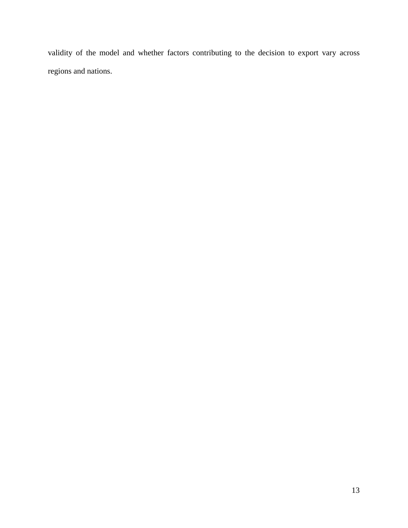validity of the model and whether factors contributing to the decision to export vary across regions and nations.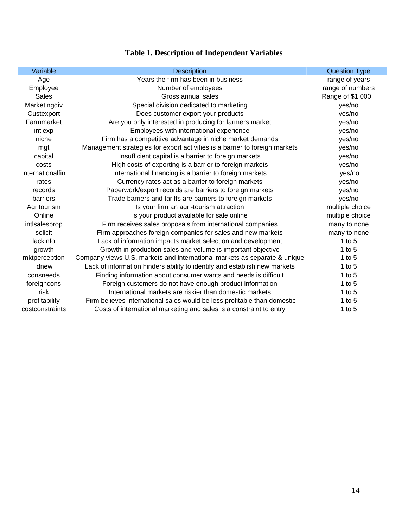| Variable         | <b>Description</b>                                                          | <b>Question Type</b> |
|------------------|-----------------------------------------------------------------------------|----------------------|
| Age              | Years the firm has been in business                                         | range of years       |
| Employee         | Number of employees                                                         | range of numbers     |
| <b>Sales</b>     | Gross annual sales                                                          | Range of \$1,000     |
| Marketingdiv     | Special division dedicated to marketing                                     | yes/no               |
| Custexport       | Does customer export your products                                          | yes/no               |
| Farmmarket       | Are you only interested in producing for farmers market                     | yes/no               |
| intlexp          | Employees with international experience                                     | yes/no               |
| niche            | Firm has a competitive advantage in niche market demands                    | yes/no               |
| mgt              | Management strategies for export activities is a barrier to foreign markets | yes/no               |
| capital          | Insufficient capital is a barrier to foreign markets                        | yes/no               |
| costs            | High costs of exporting is a barrier to foreign markets                     | yes/no               |
| internationalfin | International financing is a barrier to foreign markets                     | yes/no               |
| rates            | Currency rates act as a barrier to foreign markets                          | yes/no               |
| records          | Paperwork/export records are barriers to foreign markets                    | yes/no               |
| barriers         | Trade barriers and tariffs are barriers to foreign markets                  | yes/no               |
| Agritourism      | Is your firm an agri-tourism attraction                                     | multiple choice      |
| Online           | Is your product available for sale online                                   | multiple choice      |
| intlsalesprop    | Firm receives sales proposals from international companies                  | many to none         |
| solicit          | Firm approaches foreign companies for sales and new markets                 | many to none         |
| lackinfo         | Lack of information impacts market selection and development                | 1 to $5$             |
| growth           | Growth in production sales and volume is important objective                | 1 to $5$             |
| mktperception    | Company views U.S. markets and international markets as separate & unique   | 1 to $5$             |
| idnew            | Lack of information hinders ability to identify and establish new markets   | 1 to $5$             |
| consneeds        | Finding information about consumer wants and needs is difficult             | 1 to $5$             |
| foreigncons      | Foreign customers do not have enough product information                    | 1 to $5$             |
| risk             | International markets are riskier than domestic markets                     | 1 to $5$             |
| profitability    | Firm believes international sales would be less profitable than domestic    | 1 to $5$             |
| costconstraints  | Costs of international marketing and sales is a constraint to entry         | 1 to $5$             |

# **Table 1. Description of Independent Variables**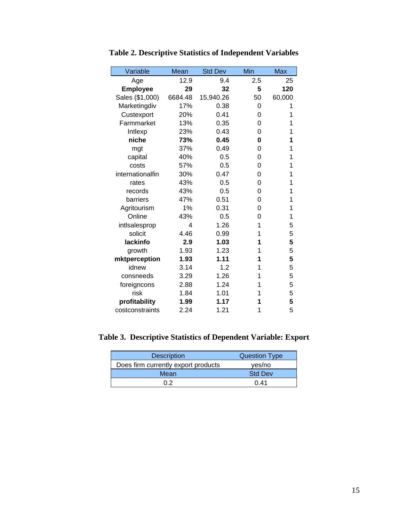| Variable         | Mean    | <b>Std Dev</b> | Min      | <b>Max</b> |
|------------------|---------|----------------|----------|------------|
| Age              | 12.9    | 9.4            | 2.5      | 25         |
| <b>Employee</b>  | 29      | 32             | 5        | 120        |
| Sales (\$1,000)  | 6684.48 | 15,940.26      | 50       | 60,000     |
| Marketingdiv     | 17%     | 0.38           | 0        | 1          |
| Custexport       | 20%     | 0.41           | 0        | 1          |
| Farmmarket       | 13%     | 0.35           | 0        | 1          |
| Intlexp          | 23%     | 0.43           | 0        | 1          |
| niche            | 73%     | 0.45           | 0        | 1          |
| mgt              | 37%     | 0.49           | $\Omega$ | 1          |
| capital          | 40%     | 0.5            | 0        | 1          |
| costs            | 57%     | 0.5            | 0        | 1          |
| internationalfin | 30%     | 0.47           | 0        | 1          |
| rates            | 43%     | 0.5            | 0        | 1          |
| records          | 43%     | 0.5            | 0        | 1          |
| barriers         | 47%     | 0.51           | 0        | 1          |
| Agritourism      | 1%      | 0.31           | 0        | 1          |
| Online           | 43%     | 0.5            | 0        | 1          |
| intlsalesprop    | 4       | 1.26           | 1        | 5          |
| solicit          | 4.46    | 0.99           | 1        | 5          |
| lackinfo         | 2.9     | 1.03           | 1        | 5          |
| growth           | 1.93    | 1.23           | 1        | 5          |
| mktperception    | 1.93    | 1.11           | 1        | 5          |
| idnew            | 3.14    | 1.2            | 1        | 5          |
| consneeds        | 3.29    | 1.26           | 1        | 5          |
| foreigncons      | 2.88    | 1.24           | 1        | 5          |
| risk             | 1.84    | 1.01           | 1        | 5          |
| profitability    | 1.99    | 1.17           | 1        | 5          |
| costconstraints  | 2.24    | 1.21           | 1        | 5          |

**Table 2. Descriptive Statistics of Independent Variables** 

## **Table 3. Descriptive Statistics of Dependent Variable: Export**

| <b>Description</b>                  | <b>Question Type</b> |  |
|-------------------------------------|----------------------|--|
| Does firm currently export products | yes/no               |  |
| Mean                                | <b>Std Dev</b>       |  |
| በ 2                                 | በ 41                 |  |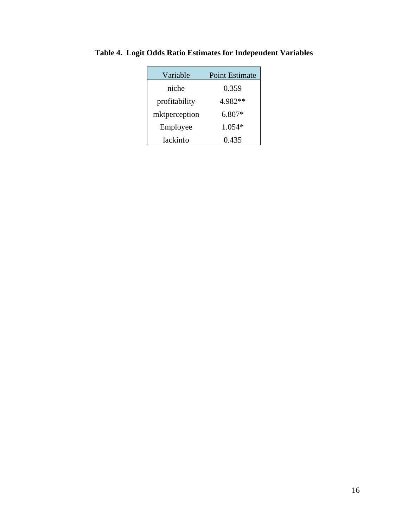| Variable      | <b>Point Estimate</b> |  |
|---------------|-----------------------|--|
| niche         | 0.359                 |  |
| profitability | 4.982**               |  |
| mktperception | $6.807*$              |  |
| Employee      | $1.054*$              |  |
| lackinfo      | 0.435                 |  |

**Table 4. Logit Odds Ratio Estimates for Independent Variables**